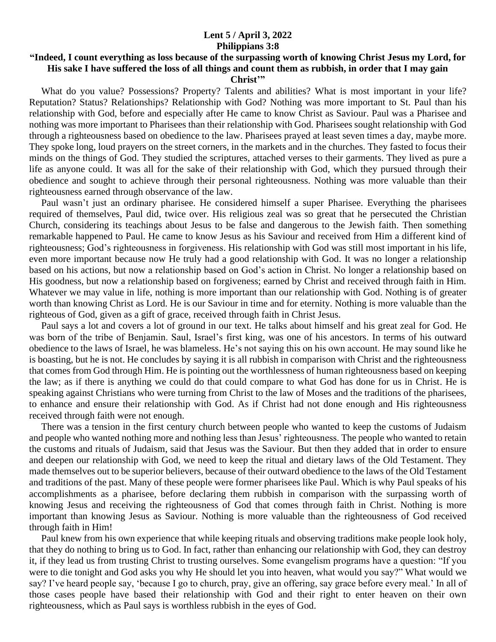## **Lent 5 / April 3, 2022 Philippians 3:8**

## **"Indeed, I count everything as loss because of the surpassing worth of knowing Christ Jesus my Lord, for His sake I have suffered the loss of all things and count them as rubbish, in order that I may gain Christ'"**

 What do you value? Possessions? Property? Talents and abilities? What is most important in your life? Reputation? Status? Relationships? Relationship with God? Nothing was more important to St. Paul than his relationship with God, before and especially after He came to know Christ as Saviour. Paul was a Pharisee and nothing was more important to Pharisees than their relationship with God. Pharisees sought relationship with God through a righteousness based on obedience to the law. Pharisees prayed at least seven times a day, maybe more. They spoke long, loud prayers on the street corners, in the markets and in the churches. They fasted to focus their minds on the things of God. They studied the scriptures, attached verses to their garments. They lived as pure a life as anyone could. It was all for the sake of their relationship with God, which they pursued through their obedience and sought to achieve through their personal righteousness. Nothing was more valuable than their righteousness earned through observance of the law.

 Paul wasn't just an ordinary pharisee. He considered himself a super Pharisee. Everything the pharisees required of themselves, Paul did, twice over. His religious zeal was so great that he persecuted the Christian Church, considering its teachings about Jesus to be false and dangerous to the Jewish faith. Then something remarkable happened to Paul. He came to know Jesus as his Saviour and received from Him a different kind of righteousness; God's righteousness in forgiveness. His relationship with God was still most important in his life, even more important because now He truly had a good relationship with God. It was no longer a relationship based on his actions, but now a relationship based on God's action in Christ. No longer a relationship based on His goodness, but now a relationship based on forgiveness; earned by Christ and received through faith in Him. Whatever we may value in life, nothing is more important than our relationship with God. Nothing is of greater worth than knowing Christ as Lord. He is our Saviour in time and for eternity. Nothing is more valuable than the righteous of God, given as a gift of grace, received through faith in Christ Jesus.

 Paul says a lot and covers a lot of ground in our text. He talks about himself and his great zeal for God. He was born of the tribe of Benjamin. Saul, Israel's first king, was one of his ancestors. In terms of his outward obedience to the laws of Israel, he was blameless. He's not saying this on his own account. He may sound like he is boasting, but he is not. He concludes by saying it is all rubbish in comparison with Christ and the righteousness that comes from God through Him. He is pointing out the worthlessness of human righteousness based on keeping the law; as if there is anything we could do that could compare to what God has done for us in Christ. He is speaking against Christians who were turning from Christ to the law of Moses and the traditions of the pharisees, to enhance and ensure their relationship with God. As if Christ had not done enough and His righteousness received through faith were not enough.

 There was a tension in the first century church between people who wanted to keep the customs of Judaism and people who wanted nothing more and nothing less than Jesus' righteousness. The people who wanted to retain the customs and rituals of Judaism, said that Jesus was the Saviour. But then they added that in order to ensure and deepen our relationship with God, we need to keep the ritual and dietary laws of the Old Testament. They made themselves out to be superior believers, because of their outward obedience to the laws of the Old Testament and traditions of the past. Many of these people were former pharisees like Paul. Which is why Paul speaks of his accomplishments as a pharisee, before declaring them rubbish in comparison with the surpassing worth of knowing Jesus and receiving the righteousness of God that comes through faith in Christ. Nothing is more important than knowing Jesus as Saviour. Nothing is more valuable than the righteousness of God received through faith in Him!

 Paul knew from his own experience that while keeping rituals and observing traditions make people look holy, that they do nothing to bring us to God. In fact, rather than enhancing our relationship with God, they can destroy it, if they lead us from trusting Christ to trusting ourselves. Some evangelism programs have a question: "If you were to die tonight and God asks you why He should let you into heaven, what would you say?" What would we say? I've heard people say, 'because I go to church, pray, give an offering, say grace before every meal.' In all of those cases people have based their relationship with God and their right to enter heaven on their own righteousness, which as Paul says is worthless rubbish in the eyes of God.